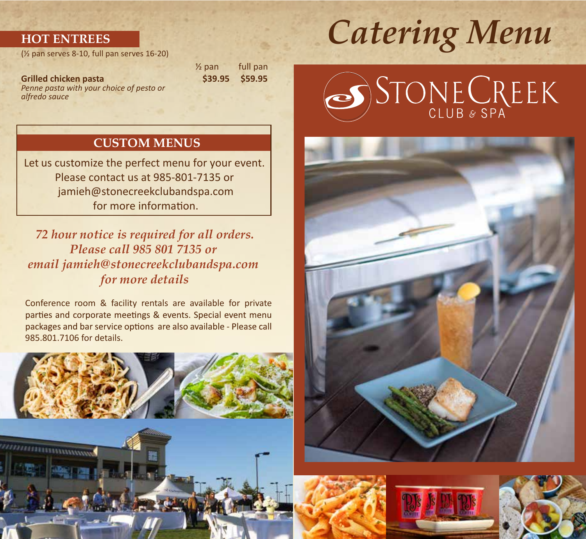### **HOT ENTREES**

(½ pan serves 8-10, full pan serves 16-20)

**Grilled chicken pasta** \$39.95 **\$59.95** *Penne pasta with your choice of pesto or alfredo sauce*

½ pan full pan

### **CUSTOM MENUS**

Let us customize the perfect menu for your event. Please contact us at 985-801-7135 or jamieh@stonecreekclubandspa.com for more information.

*72 hour notice is required for all orders. Please call 985 801 7135 or email jamieh@stonecreekclubandspa.com for more details*

Conference room & facility rentals are available for private parties and corporate meetings & events. Special event menu packages and bar service options are also available - Please call 985.801.7106 for details.





# *Catering Menu*

# STONE CREEK